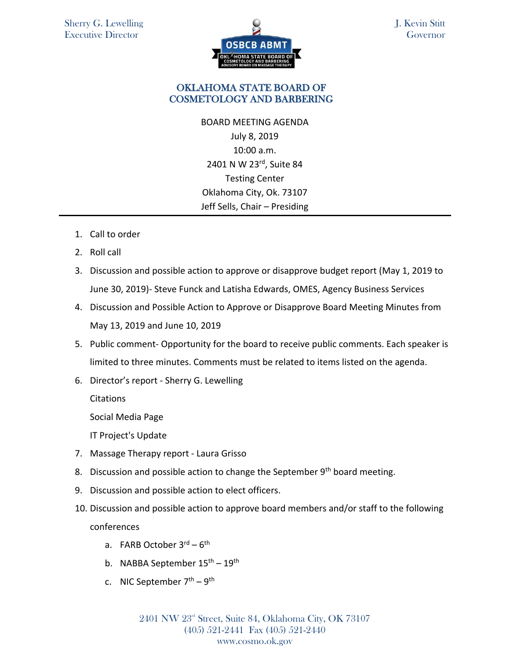

J. Kevin Stitt **Governor** 

## OKLAHOMA STATE BOARD OF COSMETOLOGY AND BARBERING

BOARD MEETING AGENDA July 8, 2019 10:00 a.m. 2401 N W 23rd, Suite 84 Testing Center Oklahoma City, Ok. 73107 Jeff Sells, Chair – Presiding

- 1. Call to order
- 2. Roll call
- 3. Discussion and possible action to approve or disapprove budget report (May 1, 2019 to June 30, 2019)- Steve Funck and Latisha Edwards, OMES, Agency Business Services
- 4. Discussion and Possible Action to Approve or Disapprove Board Meeting Minutes from May 13, 2019 and June 10, 2019
- 5. Public comment- Opportunity for the board to receive public comments. Each speaker is limited to three minutes. Comments must be related to items listed on the agenda.
- 6. Director's report Sherry G. Lewelling

**Citations** 

Social Media Page

IT Project's Update

- 7. Massage Therapy report Laura Grisso
- 8. Discussion and possible action to change the September  $9<sup>th</sup>$  board meeting.
- 9. Discussion and possible action to elect officers.
- 10. Discussion and possible action to approve board members and/or staff to the following conferences
	- a. FARB October 3<sup>rd</sup> 6<sup>th</sup>
	- b. NABBA September 15<sup>th</sup> 19<sup>th</sup>
	- c. NIC September 7<sup>th</sup> 9<sup>th</sup>

2401 NW 23rd Street, Suite 84, Oklahoma City, OK 73107 (405) 521-2441 Fax (405) 521-2440 www.cosmo.ok.gov